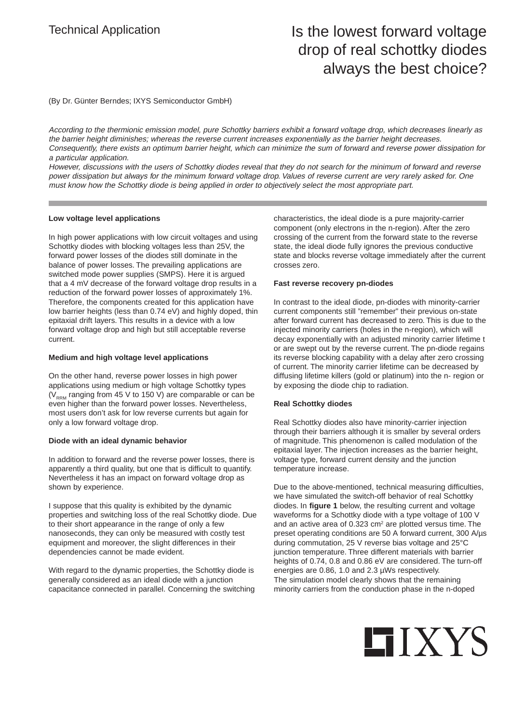### Technical Application **Is the lowest forward voltage** drop of real schottky diodes always the best choice?

(By Dr. Günter Berndes; IXYS Semiconductor GmbH)

According to the thermionic emission model, pure Schottky barriers exhibit a forward voltage drop, which decreases linearly as the barrier height diminishes; whereas the reverse current increases exponentially as the barrier height decreases. Consequently, there exists an optimum barrier height, which can minimize the sum of forward and reverse power dissipation for a particular application.

However, discussions with the users of Schottky diodes reveal that they do not search for the minimum of forward and reverse power dissipation but always for the minimum forward voltage drop. Values of reverse current are very rarely asked for. One must know how the Schottky diode is being applied in order to objectively select the most appropriate part.

#### **Low voltage level applications**

In high power applications with low circuit voltages and using Schottky diodes with blocking voltages less than 25V, the forward power losses of the diodes still dominate in the balance of power losses. The prevailing applications are switched mode power supplies (SMPS). Here it is argued that a 4 mV decrease of the forward voltage drop results in a reduction of the forward power losses of approximately 1%. Therefore, the components created for this application have low barrier heights (less than 0.74 eV) and highly doped, thin epitaxial drift layers. This results in a device with a low forward voltage drop and high but still acceptable reverse current.

#### **Medium and high voltage level applications**

On the other hand, reverse power losses in high power applications using medium or high voltage Schottky types ( $V<sub>RRM</sub>$  ranging from 45 V to 150 V) are comparable or can be even higher than the forward power losses. Nevertheless, most users don't ask for low reverse currents but again for only a low forward voltage drop.

#### **Diode with an ideal dynamic behavior**

In addition to forward and the reverse power losses, there is apparently a third quality, but one that is difficult to quantify. Nevertheless it has an impact on forward voltage drop as shown by experience.

I suppose that this quality is exhibited by the dynamic properties and switching loss of the real Schottky diode. Due to their short appearance in the range of only a few nanoseconds, they can only be measured with costly test equipment and moreover, the slight differences in their dependencies cannot be made evident.

With regard to the dynamic properties, the Schottky diode is generally considered as an ideal diode with a junction capacitance connected in parallel. Concerning the switching

characteristics, the ideal diode is a pure majority-carrier component (only electrons in the n-region). After the zero crossing of the current from the forward state to the reverse state, the ideal diode fully ignores the previous conductive state and blocks reverse voltage immediately after the current crosses zero.

#### **Fast reverse recovery pn-diodes**

In contrast to the ideal diode, pn-diodes with minority-carrier current components still "remember" their previous on-state after forward current has decreased to zero. This is due to the injected minority carriers (holes in the n-region), which will decay exponentially with an adjusted minority carrier lifetime t or are swept out by the reverse current. The pn-diode regains its reverse blocking capability with a delay after zero crossing of current. The minority carrier lifetime can be decreased by diffusing lifetime killers (gold or platinum) into the n- region or by exposing the diode chip to radiation.

#### **Real Schottky diodes**

Real Schottky diodes also have minority-carrier injection through their barriers although it is smaller by several orders of magnitude. This phenomenon is called modulation of the epitaxial layer. The injection increases as the barrier height, voltage type, forward current density and the junction temperature increase.

Due to the above-mentioned, technical measuring difficulties, we have simulated the switch-off behavior of real Schottky diodes. In **figure 1** below, the resulting current and voltage waveforms for a Schottky diode with a type voltage of 100 V and an active area of 0.323 cm<sup>2</sup> are plotted versus time. The preset operating conditions are 50 A forward current, 300 A/µs during commutation, 25 V reverse bias voltage and 25°C junction temperature. Three different materials with barrier heights of 0.74, 0.8 and 0.86 eV are considered. The turn-off energies are 0.86, 1.0 and 2.3 µWs respectively. The simulation model clearly shows that the remaining minority carriers from the conduction phase in the n-doped

# **HIXYS**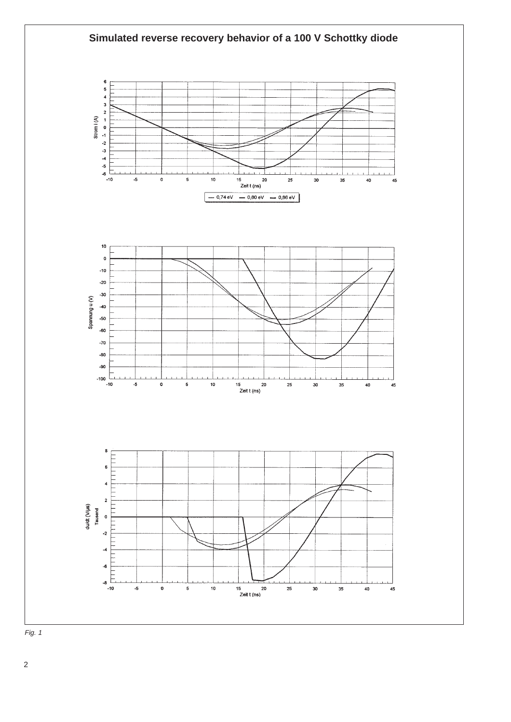

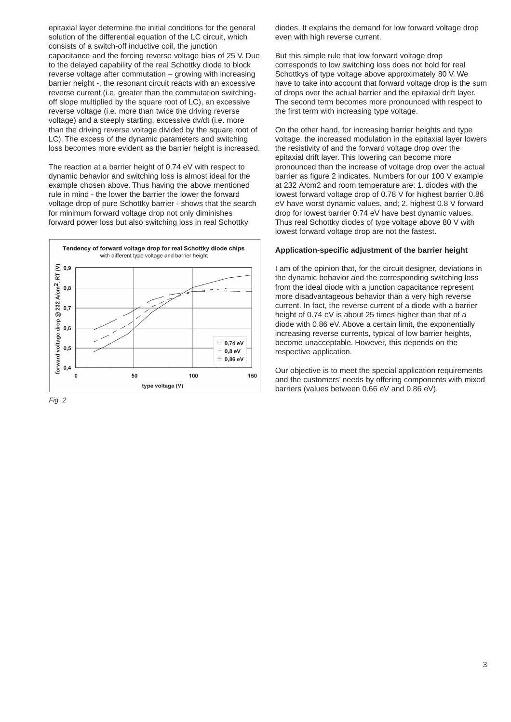epitaxial layer determine the initial conditions for the general solution of the differential equation of the LC circuit, which consists of a switch-off inductive coil, the junction capacitance and the forcing reverse voltage bias of 25 V. Due to the delayed capability of the real Schottky diode to block reverse voltage after commutation – growing with increasing barrier height -, the resonant circuit reacts with an excessive reverse current (i.e. greater than the commutation switchingoff slope multiplied by the square root of LC), an excessive reverse voltage (i.e. more than twice the driving reverse voltage) and a steeply starting, excessive dv/dt (i.e. more than the driving reverse voltage divided by the square root of LC). The excess of the dynamic parameters and switching loss becomes more evident as the barrier height is increased.

The reaction at a barrier height of 0.74 eV with respect to dynamic behavior and switching loss is almost ideal for the example chosen above. Thus having the above mentioned rule in mind - the lower the barrier the lower the forward voltage drop of pure Schottky barrier - shows that the search for minimum forward voltage drop not only diminishes forward power loss but also switching loss in real Schottky



Fig. 2

diodes. It explains the demand for low forward voltage drop even with high reverse current.

But this simple rule that low forward voltage drop corresponds to low switching loss does not hold for real Schottkys of type voltage above approximately 80 V. We have to take into account that forward voltage drop is the sum of drops over the actual barrier and the epitaxial drift layer. The second term becomes more pronounced with respect to the first term with increasing type voltage.

On the other hand, for increasing barrier heights and type voltage, the increased modulation in the epitaxial layer lowers the resistivity of and the forward voltage drop over the epitaxial drift layer. This lowering can become more pronounced than the increase of voltage drop over the actual barrier as figure 2 indicates. Numbers for our 100 V example at 232 A/cm2 and room temperature are: 1. diodes with the lowest forward voltage drop of 0.78 V for highest barrier 0.86 eV have worst dynamic values, and; 2. highest 0.8 V forward drop for lowest barrier 0.74 eV have best dynamic values. Thus real Schottky diodes of type voltage above 80 V with lowest forward voltage drop are not the fastest.

#### **Application-specific adjustment of the barrier height**

I am of the opinion that, for the circuit designer, deviations in the dynamic behavior and the corresponding switching loss from the ideal diode with a junction capacitance represent more disadvantageous behavior than a very high reverse current. In fact, the reverse current of a diode with a barrier height of 0.74 eV is about 25 times higher than that of a diode with 0.86 eV. Above a certain limit, the exponentially increasing reverse currents, typical of low barrier heights, become unacceptable. However, this depends on the respective application.

Our objective is to meet the special application requirements and the customers' needs by offering components with mixed barriers (values between 0.66 eV and 0.86 eV).